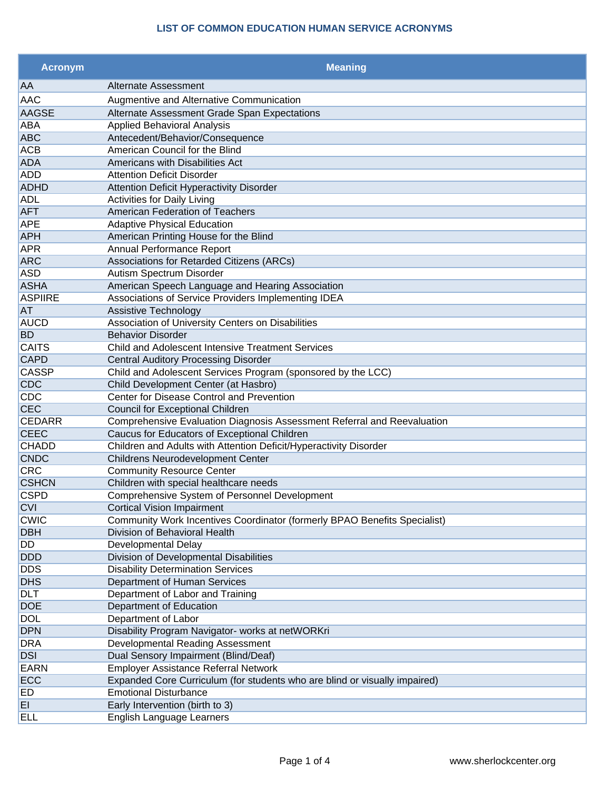| <b>Acronym</b> | <b>Meaning</b>                                                             |
|----------------|----------------------------------------------------------------------------|
| AA             | Alternate Assessment                                                       |
| <b>AAC</b>     | Augmentive and Alternative Communication                                   |
| <b>AAGSE</b>   | Alternate Assessment Grade Span Expectations                               |
| ABA            | <b>Applied Behavioral Analysis</b>                                         |
| <b>ABC</b>     | Antecedent/Behavior/Consequence                                            |
| <b>ACB</b>     | American Council for the Blind                                             |
| <b>ADA</b>     | Americans with Disabilities Act                                            |
| <b>ADD</b>     | <b>Attention Deficit Disorder</b>                                          |
| <b>ADHD</b>    | <b>Attention Deficit Hyperactivity Disorder</b>                            |
| <b>ADL</b>     | <b>Activities for Daily Living</b>                                         |
| <b>AFT</b>     | American Federation of Teachers                                            |
| <b>APE</b>     | <b>Adaptive Physical Education</b>                                         |
| <b>APH</b>     | American Printing House for the Blind                                      |
| <b>APR</b>     | Annual Performance Report                                                  |
| <b>ARC</b>     | Associations for Retarded Citizens (ARCs)                                  |
| <b>ASD</b>     | Autism Spectrum Disorder                                                   |
| <b>ASHA</b>    | American Speech Language and Hearing Association                           |
| <b>ASPIIRE</b> | Associations of Service Providers Implementing IDEA                        |
| AT             | <b>Assistive Technology</b>                                                |
| <b>AUCD</b>    | Association of University Centers on Disabilities                          |
| <b>BD</b>      | <b>Behavior Disorder</b>                                                   |
| <b>CAITS</b>   | Child and Adolescent Intensive Treatment Services                          |
| <b>CAPD</b>    | <b>Central Auditory Processing Disorder</b>                                |
| <b>CASSP</b>   | Child and Adolescent Services Program (sponsored by the LCC)               |
| <b>CDC</b>     | Child Development Center (at Hasbro)                                       |
| CDC            | Center for Disease Control and Prevention                                  |
| <b>CEC</b>     | <b>Council for Exceptional Children</b>                                    |
| <b>CEDARR</b>  | Comprehensive Evaluation Diagnosis Assessment Referral and Reevaluation    |
| <b>CEEC</b>    | Caucus for Educators of Exceptional Children                               |
| <b>CHADD</b>   | Children and Adults with Attention Deficit/Hyperactivity Disorder          |
| <b>CNDC</b>    | Childrens Neurodevelopment Center                                          |
| <b>CRC</b>     | <b>Community Resource Center</b>                                           |
| <b>CSHCN</b>   | Children with special healthcare needs                                     |
| <b>CSPD</b>    | Comprehensive System of Personnel Development                              |
| <b>CVI</b>     | <b>Cortical Vision Impairment</b>                                          |
| <b>CWIC</b>    | Community Work Incentives Coordinator (formerly BPAO Benefits Specialist)  |
| <b>DBH</b>     | Division of Behavioral Health                                              |
| DD             | Developmental Delay                                                        |
| <b>DDD</b>     | Division of Developmental Disabilities                                     |
| <b>DDS</b>     | <b>Disability Determination Services</b>                                   |
| <b>DHS</b>     | Department of Human Services                                               |
| <b>DLT</b>     | Department of Labor and Training                                           |
| <b>DOE</b>     | Department of Education                                                    |
| <b>DOL</b>     | Department of Labor                                                        |
| <b>DPN</b>     | Disability Program Navigator- works at netWORKri                           |
| <b>DRA</b>     | Developmental Reading Assessment                                           |
| <b>DSI</b>     | Dual Sensory Impairment (Blind/Deaf)                                       |
| <b>EARN</b>    | <b>Employer Assistance Referral Network</b>                                |
| ECC            | Expanded Core Curriculum (for students who are blind or visually impaired) |
| ED             | <b>Emotional Disturbance</b>                                               |
| EI             | Early Intervention (birth to 3)                                            |
| <b>ELL</b>     | English Language Learners                                                  |
|                |                                                                            |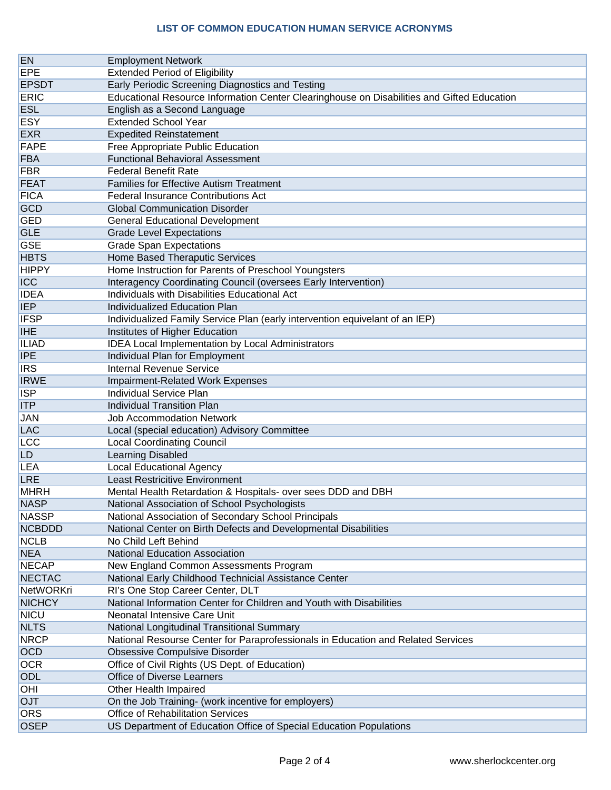| <b>EN</b>     | <b>Employment Network</b>                                                                       |
|---------------|-------------------------------------------------------------------------------------------------|
| <b>EPE</b>    | <b>Extended Period of Eligibility</b>                                                           |
| <b>EPSDT</b>  | Early Periodic Screening Diagnostics and Testing                                                |
| <b>ERIC</b>   | Educational Resource Information Center Clearinghouse on Disabilities and Gifted Education      |
| <b>ESL</b>    |                                                                                                 |
|               | English as a Second Language                                                                    |
| <b>ESY</b>    | <b>Extended School Year</b>                                                                     |
| <b>EXR</b>    | <b>Expedited Reinstatement</b>                                                                  |
| <b>FAPE</b>   | Free Appropriate Public Education                                                               |
| <b>FBA</b>    | <b>Functional Behavioral Assessment</b>                                                         |
| <b>FBR</b>    | <b>Federal Benefit Rate</b>                                                                     |
| <b>FEAT</b>   | <b>Families for Effective Autism Treatment</b>                                                  |
| <b>FICA</b>   | <b>Federal Insurance Contributions Act</b>                                                      |
| <b>GCD</b>    | <b>Global Communication Disorder</b>                                                            |
| <b>GED</b>    | <b>General Educational Development</b>                                                          |
| <b>GLE</b>    | <b>Grade Level Expectations</b>                                                                 |
| <b>GSE</b>    | <b>Grade Span Expectations</b>                                                                  |
| <b>HBTS</b>   | Home Based Theraputic Services                                                                  |
| <b>HIPPY</b>  | Home Instruction for Parents of Preschool Youngsters                                            |
| <b>ICC</b>    | Interagency Coordinating Council (oversees Early Intervention)                                  |
| <b>IDEA</b>   | Individuals with Disabilities Educational Act                                                   |
| <b>IEP</b>    | <b>Individualized Education Plan</b>                                                            |
| <b>IFSP</b>   | Individualized Family Service Plan (early intervention equivelant of an IEP)                    |
| <b>IHE</b>    | Institutes of Higher Education                                                                  |
| <b>ILIAD</b>  | <b>IDEA Local Implementation by Local Administrators</b>                                        |
| <b>IPE</b>    | Individual Plan for Employment                                                                  |
| <b>IRS</b>    | <b>Internal Revenue Service</b>                                                                 |
| <b>IRWE</b>   | <b>Impairment-Related Work Expenses</b>                                                         |
| <b>ISP</b>    | <b>Individual Service Plan</b>                                                                  |
| <b>ITP</b>    | <b>Individual Transition Plan</b>                                                               |
| <b>JAN</b>    | <b>Job Accommodation Network</b>                                                                |
| <b>LAC</b>    | Local (special education) Advisory Committee                                                    |
| <b>LCC</b>    | <b>Local Coordinating Council</b>                                                               |
| LD.           | Learning Disabled                                                                               |
| LEA           | <b>Local Educational Agency</b>                                                                 |
| LRE           | <b>Least Restricitive Environment</b>                                                           |
| <b>MHRH</b>   | Mental Health Retardation & Hospitals- over sees DDD and DBH                                    |
| <b>NASP</b>   | National Association of School Psychologists                                                    |
| <b>NASSP</b>  | National Association of Secondary School Principals                                             |
| <b>NCBDDD</b> | National Center on Birth Defects and Developmental Disabilities                                 |
| <b>NCLB</b>   | No Child Left Behind                                                                            |
| <b>NEA</b>    | <b>National Education Association</b>                                                           |
| <b>NECAP</b>  | New England Common Assessments Program                                                          |
| <b>NECTAC</b> | National Early Childhood Technicial Assistance Center                                           |
| NetWORKri     | RI's One Stop Career Center, DLT                                                                |
| <b>NICHCY</b> | National Information Center for Children and Youth with Disabilities                            |
| <b>NICU</b>   | Neonatal Intensive Care Unit                                                                    |
| <b>NLTS</b>   | National Longitudinal Transitional Summary                                                      |
| <b>NRCP</b>   | National Resourse Center for Paraprofessionals in Education and Related Services                |
| <b>OCD</b>    | <b>Obsessive Compulsive Disorder</b>                                                            |
| <b>OCR</b>    | Office of Civil Rights (US Dept. of Education)                                                  |
| <b>ODL</b>    | <b>Office of Diverse Learners</b>                                                               |
| OHI           | Other Health Impaired                                                                           |
| <b>OJT</b>    |                                                                                                 |
| ORS           | On the Job Training- (work incentive for employers)<br><b>Office of Rehabilitation Services</b> |
| <b>OSEP</b>   |                                                                                                 |
|               | US Department of Education Office of Special Education Populations                              |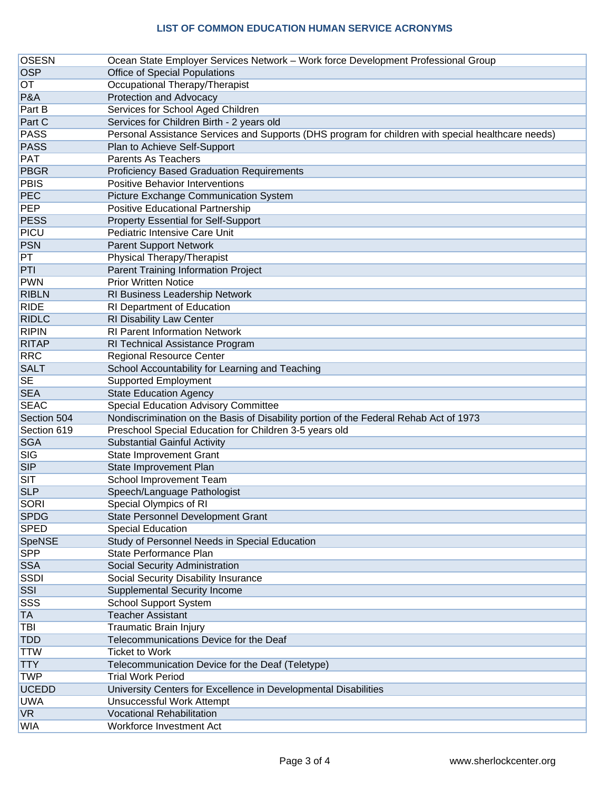| <b>OSESN</b> | Ocean State Employer Services Network - Work force Development Professional Group                  |
|--------------|----------------------------------------------------------------------------------------------------|
| <b>OSP</b>   | <b>Office of Special Populations</b>                                                               |
| OТ           | Occupational Therapy/Therapist                                                                     |
| P&A          | <b>Protection and Advocacy</b>                                                                     |
| Part B       | Services for School Aged Children                                                                  |
| Part C       | Services for Children Birth - 2 years old                                                          |
| <b>PASS</b>  | Personal Assistance Services and Supports (DHS program for children with special healthcare needs) |
| <b>PASS</b>  | Plan to Achieve Self-Support                                                                       |
| <b>PAT</b>   | <b>Parents As Teachers</b>                                                                         |
| <b>PBGR</b>  | <b>Proficiency Based Graduation Requirements</b>                                                   |
| <b>PBIS</b>  | <b>Positive Behavior Interventions</b>                                                             |
| PEC          | Picture Exchange Communication System                                                              |
| PEP          | Positive Educational Partnership                                                                   |
| <b>PESS</b>  | <b>Property Essential for Self-Support</b>                                                         |
| PICU         | Pediatric Intensive Care Unit                                                                      |
| <b>PSN</b>   | <b>Parent Support Network</b>                                                                      |
| PT           | Physical Therapy/Therapist                                                                         |
| PTI          | Parent Training Information Project                                                                |
| <b>PWN</b>   | <b>Prior Written Notice</b>                                                                        |
| <b>RIBLN</b> | RI Business Leadership Network                                                                     |
| <b>RIDE</b>  | RI Department of Education                                                                         |
| <b>RIDLC</b> | RI Disability Law Center                                                                           |
| <b>RIPIN</b> | <b>RI Parent Information Network</b>                                                               |
| <b>RITAP</b> | RI Technical Assistance Program                                                                    |
| <b>RRC</b>   | <b>Regional Resource Center</b>                                                                    |
| <b>SALT</b>  | School Accountability for Learning and Teaching                                                    |
| <b>SE</b>    | <b>Supported Employment</b>                                                                        |
| <b>SEA</b>   | <b>State Education Agency</b>                                                                      |
| <b>SEAC</b>  | <b>Special Education Advisory Committee</b>                                                        |
| Section 504  | Nondiscrimination on the Basis of Disability portion of the Federal Rehab Act of 1973              |
| Section 619  | Preschool Special Education for Children 3-5 years old                                             |
| <b>SGA</b>   | <b>Substantial Gainful Activity</b>                                                                |
| <b>SIG</b>   | <b>State Improvement Grant</b>                                                                     |
| <b>SIP</b>   | State Improvement Plan                                                                             |
| <b>SIT</b>   | School Improvement Team                                                                            |
| <b>SLP</b>   | Speech/Language Pathologist                                                                        |
| SORI         | Special Olympics of RI                                                                             |
| <b>SPDG</b>  | State Personnel Development Grant                                                                  |
| <b>SPED</b>  | <b>Special Education</b>                                                                           |
| SpeNSE       | Study of Personnel Needs in Special Education                                                      |
| <b>SPP</b>   | State Performance Plan                                                                             |
| <b>SSA</b>   | Social Security Administration                                                                     |
| <b>SSDI</b>  | <b>Social Security Disability Insurance</b>                                                        |
| SSI          | Supplemental Security Income                                                                       |
| SSS          | <b>School Support System</b>                                                                       |
| TA           | <b>Teacher Assistant</b>                                                                           |
| TBI          | <b>Traumatic Brain Injury</b>                                                                      |
| <b>TDD</b>   | Telecommunications Device for the Deaf                                                             |
| <b>TTW</b>   | <b>Ticket to Work</b>                                                                              |
| <b>TTY</b>   | Telecommunication Device for the Deaf (Teletype)                                                   |
| <b>TWP</b>   | <b>Trial Work Period</b>                                                                           |
| <b>UCEDD</b> | University Centers for Excellence in Developmental Disabilities                                    |
| <b>UWA</b>   | Unsuccessful Work Attempt                                                                          |
| <b>VR</b>    | <b>Vocational Rehabilitation</b>                                                                   |
| WIA          | Workforce Investment Act                                                                           |
|              |                                                                                                    |